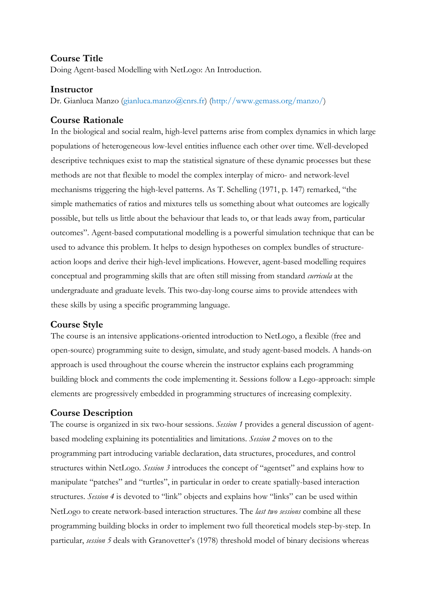### **Course Title**

Doing Agent-based Modelling with NetLogo: An Introduction.

#### **Instructor**

Dr. Gianluca Manzo (gianluca.manzo@cnrs.fr) (http://www.gemass.org/manzo/)

### **Course Rationale**

In the biological and social realm, high-level patterns arise from complex dynamics in which large populations of heterogeneous low-level entities influence each other over time. Well-developed descriptive techniques exist to map the statistical signature of these dynamic processes but these methods are not that flexible to model the complex interplay of micro- and network-level mechanisms triggering the high-level patterns. As T. Schelling (1971, p. 147) remarked, "the simple mathematics of ratios and mixtures tells us something about what outcomes are logically possible, but tells us little about the behaviour that leads to, or that leads away from, particular outcomes". Agent-based computational modelling is a powerful simulation technique that can be used to advance this problem. It helps to design hypotheses on complex bundles of structureaction loops and derive their high-level implications. However, agent-based modelling requires conceptual and programming skills that are often still missing from standard *curricula* at the undergraduate and graduate levels. This two-day-long course aims to provide attendees with these skills by using a specific programming language.

### **Course Style**

The course is an intensive applications-oriented introduction to NetLogo, a flexible (free and open-source) programming suite to design, simulate, and study agent-based models. A hands-on approach is used throughout the course wherein the instructor explains each programming building block and comments the code implementing it. Sessions follow a Lego-approach: simple elements are progressively embedded in programming structures of increasing complexity.

### **Course Description**

The course is organized in six two-hour sessions. *Session 1* provides a general discussion of agentbased modeling explaining its potentialities and limitations. *Session 2* moves on to the programming part introducing variable declaration, data structures, procedures, and control structures within NetLogo. *Session 3* introduces the concept of "agentset" and explains how to manipulate "patches" and "turtles", in particular in order to create spatially-based interaction structures. *Session 4* is devoted to "link" objects and explains how "links" can be used within NetLogo to create network-based interaction structures. The *last two sessions* combine all these programming building blocks in order to implement two full theoretical models step-by-step. In particular, *session 5* deals with Granovetter's (1978) threshold model of binary decisions whereas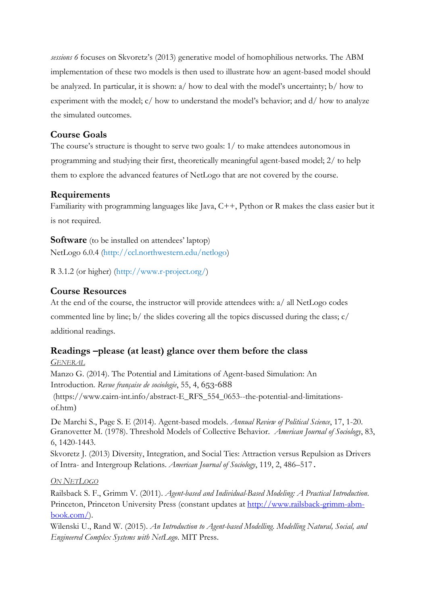*sessions 6* focuses on Skvoretz's (2013) generative model of homophilious networks. The ABM implementation of these two models is then used to illustrate how an agent-based model should be analyzed. In particular, it is shown: a/ how to deal with the model's uncertainty; b/ how to experiment with the model; c/ how to understand the model's behavior; and d/ how to analyze the simulated outcomes.

### **Course Goals**

The course's structure is thought to serve two goals: 1/ to make attendees autonomous in programming and studying their first, theoretically meaningful agent-based model; 2/ to help them to explore the advanced features of NetLogo that are not covered by the course.

### **Requirements**

Familiarity with programming languages like Java,  $C++$ , Python or R makes the class easier but it is not required.

**Software** (to be installed on attendees' laptop) NetLogo 6.0.4 (http://ccl.northwestern.edu/netlogo)

R 3.1.2 (or higher) (http://www.r-project.org/)

### **Course Resources**

At the end of the course, the instructor will provide attendees with: a/ all NetLogo codes commented line by line; b/ the slides covering all the topics discussed during the class; c/

additional readings.

# **Readings –please (at least) glance over them before the class**

*GENERAL*

Manzo G. (2014). The Potential and Limitations of Agent-based Simulation: An Introduction. *Revue française de sociologie*, 55, 4, 653-688

[\(https://www.cairn-int.info/abstract-E\\_RFS\\_554\\_0653--the-potential-and-limitations](https://www.cairn-int.info/abstract-E_RFS_554_0653--the-potential-and-limitations-of.htm)[of.htm](https://www.cairn-int.info/abstract-E_RFS_554_0653--the-potential-and-limitations-of.htm))

De Marchi S., Page S. E (2014). Agent-based models. *Annual Review of Political Science*, 17, 1-20. Granovetter M. (1978). Threshold Models of Collective Behavior. *American Journal of Sociology*, 83, 6, 1420-1443.

Skvoretz J. (2013) Diversity, Integration, and Social Ties: Attraction versus Repulsion as Drivers of Intra- and Intergroup Relations. *American Journal of Sociology*, 119, 2, 486–517.

### *ON NETLOGO*

Railsback S. F., Grimm V. (2011). *Agent-based and Individual-Based Modeling: A Practical Introduction*. Princeton, Princeton University Press (constant updates at [http://www.railsback-grimm-abm](http://www.railsback-grimm-abm-book.com/)[book.com/\)](http://www.railsback-grimm-abm-book.com/).

Wilenski U., Rand W. (2015). *An Introduction to Agent-based Modelling. Modelling Natural, Social, and Engineered Complex Systems with NetLogo*. MIT Press.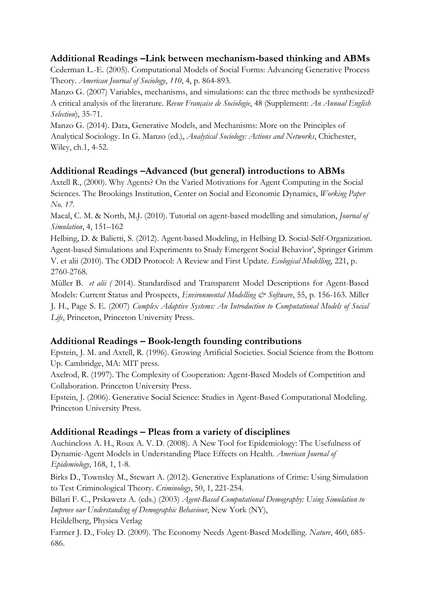### **Additional Readings –Link between mechanism-based thinking and ABMs**

Cederman L.-E. (2005). Computational Models of Social Forms: Advancing Generative Process Theory. *American Journal of Sociology*, *110*, 4, p. 864-893.

Manzo G. (2007) Variables, mechanisms, and simulations: can the three methods be synthesized? A critical analysis of the literature. *Revue Française de Sociologie*, 48 (Supplement: *An Annual English Selection*), 35-71.

Manzo G. (2014). Data, Generative Models, and Mechanisms: More on the Principles of Analytical Sociology. In G. Manzo (ed.), *Analytical Sociology: Actions and Networks*, Chichester, Wiley, ch.1, 4-52.

### **Additional Readings –Advanced (but general) introductions to ABMs**

Axtell R., (2000). Why Agents? On the Varied Motivations for Agent Computing in the Social Sciences. The Brookings Institution, Center on Social and Economic Dynamics, *Working Paper No. 17*.

Macal, C. M. & North, M.J. (2010). Tutorial on agent-based modelling and simulation, *Journal of Simulation*, 4, 151–162

Helbing, D. & Balietti, S. (2012). Agent-based Modeling, in Helbing D. Social-Self-Organization. Agent-based Simulations and Experiments to Study Emergent Social Behavior', Springer Grimm V. et alii (2010). The ODD Protocol: A Review and First Update. *Ecological Modelling*, 221, p. 2760-2768.

Müller B. *et alii (* 2014). Standardised and Transparent Model Descriptions for Agent-Based Models: Current Status and Prospects, *Environmental Modelling & Software*, 55, p. 156-163. Miller J. H., Page S. E. (2007) *Complex Adaptive Systems: An Introduction to Computational Models of Social Life*, Princeton, Princeton University Press.

### **Additional Readings – Book-length founding contributions**

Epstein, J. M. and Axtell, R. (1996). Growing Artificial Societies. Social Science from the Bottom Up. Cambridge, MA: MIT press.

Axelrod, R. (1997). The Complexity of Cooperation: Agent-Based Models of Competition and Collaboration. Princeton University Press.

Epstein, J. (2006). Generative Social Science: Studies in Agent-Based Computational Modeling. Princeton University Press.

### **Additional Readings – Pleas from a variety of disciplines**

Auchincloss A. H., Roux A. V. D. (2008). A New Tool for Epidemiology: The Usefulness of Dynamic-Agent Models in Understanding Place Effects on Health. *American Journal of Epidemiology*, 168, 1, 1-8.

Birks D., Townsley M., Stewart A. (2012). Generative Explanations of Crime: Using Simulation to Test Criminological Theory. *Criminology*, 50, 1, 221-254.

Billari F. C., Prskawetz A. (eds.) (2003) *Agent-Based Computational Demography: Using Simulation to Improve our Understanding of Demographic Behaviour*, New York (NY),

Heildelberg, Physica Verlag

Farmer J. D., Foley D. (2009). The Economy Needs Agent-Based Modelling. *Nature*, 460, 685- 686.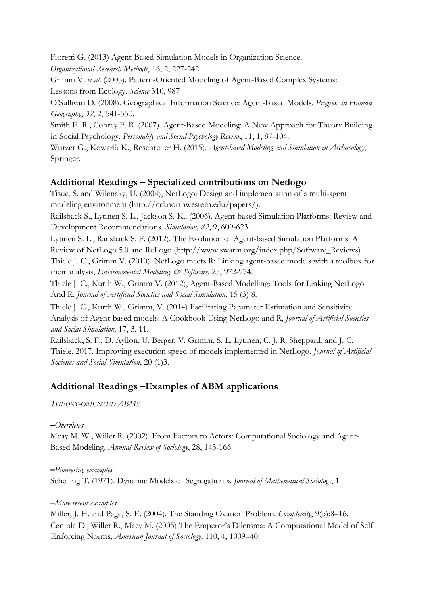Fioretti G. (2013) Agent-Based Simulation Models in Organization Science.

*Organizational Research Methods*, 16, 2, 227-242.

Grimm V. *et al.* (2005). Pattern-Oriented Modeling of Agent-Based Complex Systems: Lessons from Ecology. *Science* 310, 987

O'Sullivan D. (2008). Geographical Information Science: Agent-Based Models. *Progress in Human Geography*, *32*, 2, 541-550.

Smith E. R., Conrey F. R. (2007). Agent-Based Modeling: A New Approach for Theory Building in Social Psychology. *Personality and Social Psychology Review*, 11, 1, 87-104.

Wurzer G., Kowarik K., Reschreiter H. (2015). *Agent-based Modeling and Simulation in Archaeology*, Springer.

## **Additional Readings – Specialized contributions on Netlogo**

Tisue, S. and Wilensky, U. (2004), NetLogo: Design and implementation of a multi-agent modeling environment (http://ccl.northwestern.edu/papers/).

Railsback S., Lytinen S. L., Jackson S. K.. (2006). Agent-based Simulation Platforms: Review and Development Recommendations. *Simulation, 82*, 9, 609-623.

Lytinen S. L., Railsback S. F. (2012). The Evolution of Agent-based Simulation Platforms: A

Review of NetLogo 5.0 and ReLogo (http://www.swarm.org/index.php/Software\_Reviews) Thiele J. C., Grimm V. (2010). NetLogo meets R: Linking agent-based models with a toolbox for their analysis, *Environmental Modelling & Software,* 25, 972-974.

Thiele J. C., Kurth W., Grimm V. (2012), Agent-Based Modelling: Tools for Linking NetLogo And R, *Journal of Artificial Societies and Social Simulation,* 15 (3) 8.

Thiele J. C., Kurth W., Grimm, V. (2014) Facilitating Parameter Estimation and Sensitivity Analysis of Agent-based models: A Cookbook Using NetLogo and R, *Journal of Artificial Societies and Social Simulation,* 17, 3, 11.

Railsback, S. F., D. Ayllón, U. Berger, V. Grimm, S. L. Lytinen, C. J. R. Sheppard, and J. C. Thiele. 2017. Improving execution speed of models implemented in NetLogo. *Journal of Artificial Societies and Social Simulation*, 20 (1)3.

## **Additional Readings –Examples of ABM applications**

*THEORY-ORIENTED ABMS*

### **–***Overviews*

Mcay M. W., Willer R. (2002). From Factors to Actors: Computational Sociology and Agent-Based Modeling. *Annual Review of Sociology*, 28, 143-166.

**–***Pioneering examples*  Schelling T. (1971). Dynamic Models of Segregation ». *Journal of Mathematical Sociology*, 1

**–***More recent examples* 

Miller, J. H. and Page, S. E. (2004). The Standing Ovation Problem. *Complexity*, 9(5):8–16. Centola D., Willer R., Macy M. (2005) The Emperor's Dilemma: A Computational Model of Self Enforcing Norms, *American Journal of Sociology,* 110, 4, 1009–40.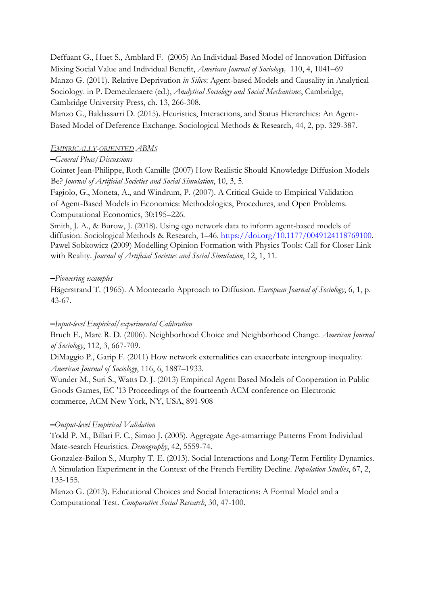Deffuant G., Huet S., Amblard F. (2005) An Individual-Based Model of Innovation Diffusion Mixing Social Value and Individual Benefit, *American Journal of Sociology,* 110, 4, 1041–69 Manzo G. (2011). Relative Deprivation *in Silico*: Agent-based Models and Causality in Analytical Sociology. in P. Demeulenaere (ed.), *Analytical Sociology and Social Mechanisms*, Cambridge, Cambridge University Press, ch. 13, 266-308.

Manzo G., Baldassarri D. (2015). Heuristics, Interactions, and Status Hierarchies: An Agent-Based Model of Deference Exchange. Sociological Methods & Research, 44, 2, pp. 329-387.

#### *EMPIRICALLY-ORIENTED ABMS*

#### **–***General Pleas/Discussions*

Cointet Jean-Philippe, Roth Camille (2007) How Realistic Should Knowledge Diffusion Models Be? *Journal of Artificial Societies and Social Simulation*, 10, 3, 5.

Fagiolo, G., Moneta, A., and Windrum, P. (2007). A Critical Guide to Empirical Validation of Agent-Based Models in Economics: Methodologies, Procedures, and Open Problems. Computational Economics, 30:195–226.

Smith, J. A., & Burow, J. (2018). Using ego network data to inform agent-based models of diffusion. Sociological Methods & Research, 1–46. https://doi.org/10.1177/0049124118769100. Pawel Sobkowicz (2009) Modelling Opinion Formation with Physics Tools: Call for Closer Link with Reality. *Journal of Artificial Societies and Social Simulation*, 12, 1, 11.

#### **–***Pioneering examples*

Hägerstrand T. (1965). A Montecarlo Approach to Diffusion. *European Journal of Sociology*, 6, 1, p. 43-67.

#### **–***Input-level Empirical/experimental Calibration*

Bruch E., Mare R. D. (2006). Neighborhood Choice and Neighborhood Change. *American Journal of Sociology*, 112, 3, 667-709.

DiMaggio P., Garip F. (2011) How network externalities can exacerbate intergroup inequality. *American Journal of Sociology*, 116, 6, 1887–1933.

Wunder M., Suri S., Watts D. J. (2013) Empirical Agent Based Models of Cooperation in Public Goods Games, EC '13 Proceedings of the fourteenth ACM conference on Electronic commerce, ACM New York, NY, USA, 891-908

### **–***Output-level Empirical Validation*

Todd P. M., Billari F. C., Simao J. (2005). Aggregate Age-atmarriage Patterns From Individual Mate-search Heuristics. *Demography*, 42, 5559-74.

Gonzalez-Bailon S., Murphy T. E. (2013). Social Interactions and Long-Term Fertility Dynamics. A Simulation Experiment in the Context of the French Fertility Decline. *Population Studies*, 67, 2, 135-155.

Manzo G. (2013). Educational Choices and Social Interactions: A Formal Model and a Computational Test. *Comparative Social Research*, 30, 47-100.